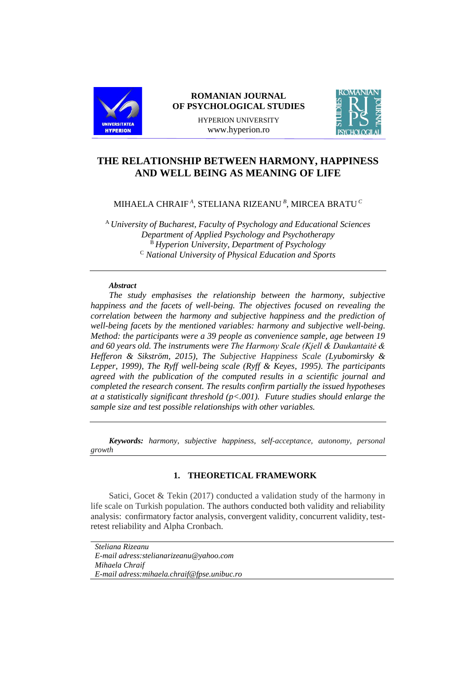

### **ROMANIAN JOURNAL OF PSYCHOLOGICAL STUDIES**

HYPERION UNIVERSITY www.hyperion.ro



# **THE RELATIONSHIP BETWEEN HARMONY, HAPPINESS AND WELL BEING AS MEANING OF LIFE**

## MIHAELA CHRAIF *<sup>A</sup>* , STELIANA RIZEANU *<sup>B</sup>* , MIRCEA BRATU *<sup>C</sup>*

<sup>A</sup> *University of Bucharest, Faculty of Psychology and Educational Sciences Department of Applied Psychology and Psychotherapy* <sup>B</sup> *Hyperion University, Department of Psychology* <sup>C</sup> *National University of Physical Education and Sports*

#### *Abstract*

*The study emphasises the relationship between the harmony, subjective happiness and the facets of well-being. The objectives focused on revealing the correlation between the harmony and subjective happiness and the prediction of well-being facets by the mentioned variables: harmony and subjective well-being. Method: the participants were a 39 people as convenience sample, age between 19 and 60 years old. The instruments were The Harmony Scale (Kjell & Daukantaitė & Hefferon & Sikström, 2015), The Subjective Happiness Scale (Lyubomirsky & Lepper, 1999), The Ryff well-being scale (Ryff & Keyes, 1995). The participants agreed with the publication of the computed results in a scientific journal and completed the research consent. The results confirm partially the issued hypotheses at a statistically significant threshold (p<.001). Future studies should enlarge the sample size and test possible relationships with other variables.*

*Keywords: harmony, subjective happiness, self-acceptance, autonomy, personal growth*

### **1. THEORETICAL FRAMEWORK**

Satici, Gocet & Tekin (2017) conducted a validation study of the harmony in life scale on Turkish population. The authors conducted both validity and reliability analysis: confirmatory factor analysis, convergent validity, concurrent validity, testretest reliability and Alpha Cronbach.

*Steliana Rizeanu E-mail adress:stelianarizeanu@yahoo.com Mihaela Chraif E-mail adress:mihaela.chraif@fpse.unibuc.ro*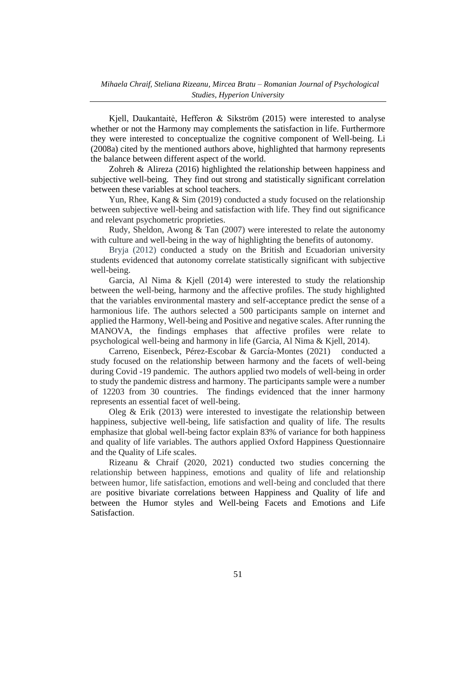Kjell, Daukantaitė, Hefferon & Sikström (2015) were interested to analyse whether or not the Harmony may complements the satisfaction in life. Furthermore they were interested to conceptualize the cognitive component of Well-being. Li (2008a) cited by the mentioned authors above, highlighted that harmony represents the balance between different aspect of the world.

Zohreh & Alireza (2016) highlighted the relationship between happiness and subjective well-being. They find out strong and statistically significant correlation between these variables at school teachers.

Yun, Rhee, Kang & Sim (2019) conducted a study focused on the relationship between subjective well-being and satisfaction with life. They find out significance and relevant psychometric proprieties.

Rudy, Sheldon, Awong & Tan (2007) were interested to relate the autonomy with culture and well-being in the way of highlighting the benefits of autonomy.

Bryja (2012) conducted a study on the British and Ecuadorian university students evidenced that autonomy correlate statistically significant with subjective well-being.

Garcia, Al Nima & Kjell (2014) were interested to study the relationship between the well-being, harmony and the affective profiles. The study highlighted that the variables environmental mastery and self-acceptance predict the sense of a harmonious life. The authors selected a 500 participants sample on internet and applied the Harmony, Well-being and Positive and negative scales. After running the MANOVA, the findings emphases that affective profiles were relate to psychological well-being and harmony in life (Garcia, Al Nima & Kjell, 2014).

Carreno, Eisenbeck, Pérez-Escobar & García-Montes (2021) conducted a study focused on the relationship between harmony and the facets of well-being during Covid -19 pandemic. The authors applied two models of well-being in order to study the pandemic distress and harmony. The participants sample were a number of 12203 from 30 countries. The findings evidenced that the inner harmony represents an essential facet of well-being.

Oleg & Erik (2013) were interested to investigate the relationship between happiness, subjective well-being, life satisfaction and quality of life. The results emphasize that global well-being factor explain 83% of variance for both happiness and quality of life variables. The authors applied Oxford Happiness Questionnaire and the Quality of Life scales.

Rizeanu & Chraif (2020, 2021) conducted two studies concerning the relationship between happiness, emotions and quality of life and relationship between humor, life satisfaction, emotions and well-being and concluded that there are positive bivariate correlations between Happiness and Quality of life and between the Humor styles and Well-being Facets and Emotions and Life **Satisfaction**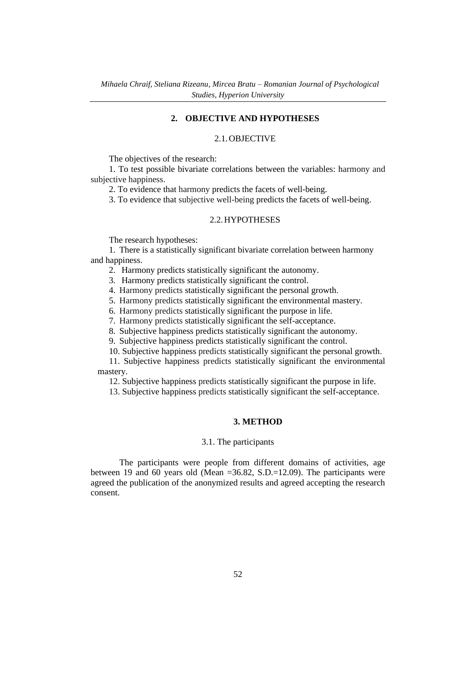### **2. OBJECTIVE AND HYPOTHESES**

### 2.1.OBJECTIVE

The objectives of the research:

1. To test possible bivariate correlations between the variables: harmony and subjective happiness.

2. To evidence that harmony predicts the facets of well-being.

3. To evidence that subjective well-being predicts the facets of well-being.

#### 2.2.HYPOTHESES

The research hypotheses:

1. There is a statistically significant bivariate correlation between harmony and happiness.

2. Harmony predicts statistically significant the autonomy.

3. Harmony predicts statistically significant the control.

4. Harmony predicts statistically significant the personal growth.

5. Harmony predicts statistically significant the environmental mastery.

6. Harmony predicts statistically significant the purpose in life.

7. Harmony predicts statistically significant the self-acceptance.

8. Subjective happiness predicts statistically significant the autonomy.

9. Subjective happiness predicts statistically significant the control.

10. Subjective happiness predicts statistically significant the personal growth.

11. Subjective happiness predicts statistically significant the environmental mastery.

12. Subjective happiness predicts statistically significant the purpose in life.

13. Subjective happiness predicts statistically significant the self-acceptance.

#### **3. METHOD**

### 3.1. The participants

The participants were people from different domains of activities, age between 19 and 60 years old (Mean  $=36.82$ , S.D. $=12.09$ ). The participants were agreed the publication of the anonymized results and agreed accepting the research consent.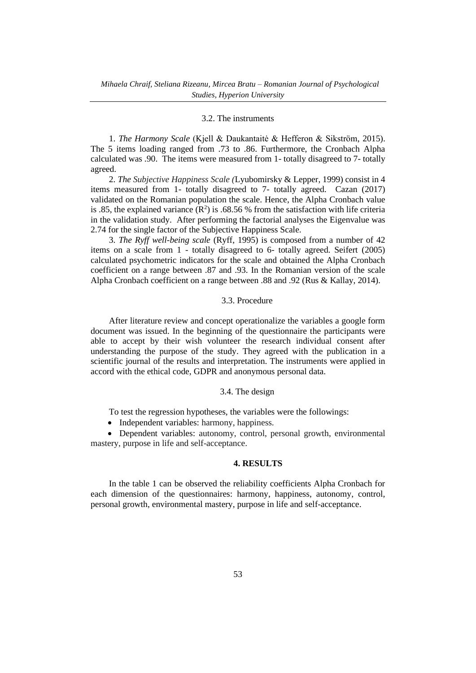### 3.2. The instruments

1. *The Harmony Scale* (Kjell & Daukantaitė & Hefferon & Sikström, 2015). The 5 items loading ranged from .73 to .86. Furthermore, the Cronbach Alpha calculated was .90. The items were measured from 1- totally disagreed to 7- totally agreed.

2. *The Subjective Happiness Scale (*Lyubomirsky & Lepper, 1999) consist in 4 items measured from 1- totally disagreed to 7- totally agreed. Cazan (2017) validated on the Romanian population the scale. Hence, the Alpha Cronbach value is .85, the explained variance  $(R^2)$  is .68.56 % from the satisfaction with life criteria in the validation study. After performing the factorial analyses the Eigenvalue was 2.74 for the single factor of the Subjective Happiness Scale.

3. *The Ryff well-being scale* (Ryff, 1995) is composed from a number of 42 items on a scale from 1 - totally disagreed to 6- totally agreed. Seifert (2005) calculated psychometric indicators for the scale and obtained the Alpha Cronbach coefficient on a range between .87 and .93. In the Romanian version of the scale Alpha Cronbach coefficient on a range between .88 and .92 (Rus & Kallay, 2014).

### 3.3. Procedure

After literature review and concept operationalize the variables a google form document was issued. In the beginning of the questionnaire the participants were able to accept by their wish volunteer the research individual consent after understanding the purpose of the study. They agreed with the publication in a scientific journal of the results and interpretation. The instruments were applied in accord with the ethical code, GDPR and anonymous personal data.

### 3.4. The design

To test the regression hypotheses, the variables were the followings:

• Independent variables: harmony, happiness.

• Dependent variables: autonomy, control, personal growth, environmental mastery, purpose in life and self-acceptance.

#### **4. RESULTS**

In the table 1 can be observed the reliability coefficients Alpha Cronbach for each dimension of the questionnaires: harmony, happiness, autonomy, control, personal growth, environmental mastery, purpose in life and self-acceptance.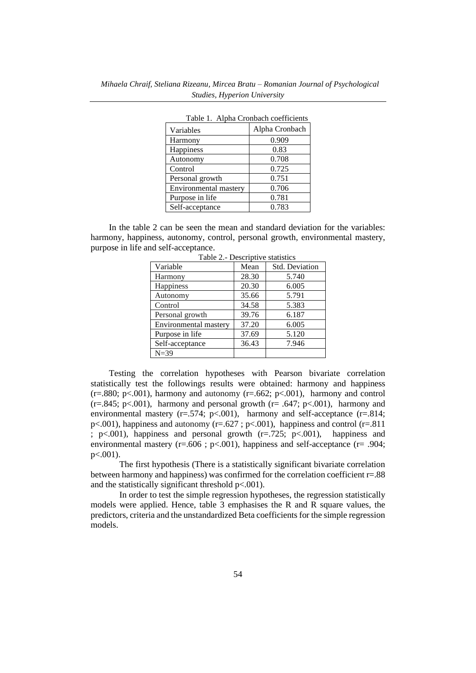| Table 1. Alpha Crombach coefficients |                |  |  |  |
|--------------------------------------|----------------|--|--|--|
| Variables                            | Alpha Cronbach |  |  |  |
| Harmony                              | 0.909          |  |  |  |
| Happiness                            | 0.83           |  |  |  |
| Autonomy                             | 0.708          |  |  |  |
| Control                              | 0.725          |  |  |  |
| Personal growth                      | 0.751          |  |  |  |
| Environmental mastery                | 0.706          |  |  |  |
| Purpose in life                      | 0.781          |  |  |  |
| Self-acceptance                      | 0.783          |  |  |  |

Table 1. Alpha Cronbach coefficients

In the table 2 can be seen the mean and standard deviation for the variables: harmony, happiness, autonomy, control, personal growth, environmental mastery, purpose in life and self-acceptance.

| $10010 +$<br>Descriptive statistics |                       |  |  |  |  |  |  |
|-------------------------------------|-----------------------|--|--|--|--|--|--|
| Mean                                | <b>Std. Deviation</b> |  |  |  |  |  |  |
| 28.30                               | 5.740                 |  |  |  |  |  |  |
| 20.30                               | 6.005                 |  |  |  |  |  |  |
| 35.66                               | 5.791                 |  |  |  |  |  |  |
| 34.58                               | 5.383                 |  |  |  |  |  |  |
| 39.76                               | 6.187                 |  |  |  |  |  |  |
| 37.20                               | 6.005                 |  |  |  |  |  |  |
| 37.69                               | 5.120                 |  |  |  |  |  |  |
| 36.43                               | 7.946                 |  |  |  |  |  |  |
|                                     |                       |  |  |  |  |  |  |
|                                     |                       |  |  |  |  |  |  |

Table 2.- Descriptive statistics

Testing the correlation hypotheses with Pearson bivariate correlation statistically test the followings results were obtained: harmony and happiness  $(r=.880; p<.001)$ , harmony and autonomy  $(r=.662; p<.001)$ , harmony and control  $(r=.845; p<.001)$ , harmony and personal growth  $(r=.647; p<.001)$ , harmony and environmental mastery ( $r = .574$ ;  $p < .001$ ), harmony and self-acceptance ( $r = .814$ ;  $p<.001$ ), happiness and autonomy ( $r=.627$ ;  $p<.001$ ), happiness and control ( $r=.811$ ) ;  $p<.001$ ), happiness and personal growth  $(r=.725; p<.001)$ , happiness and environmental mastery ( $r = .606$ ;  $p < .001$ ), happiness and self-acceptance ( $r = .904$ ; p<.001).

The first hypothesis (There is a statistically significant bivariate correlation between harmony and happiness) was confirmed for the correlation coefficient r=.88 and the statistically significant threshold  $p<001$ ).

In order to test the simple regression hypotheses, the regression statistically models were applied. Hence, table  $3$  emphasises the R and R square values, the predictors, criteria and the unstandardized Beta coefficients for the simple regression models.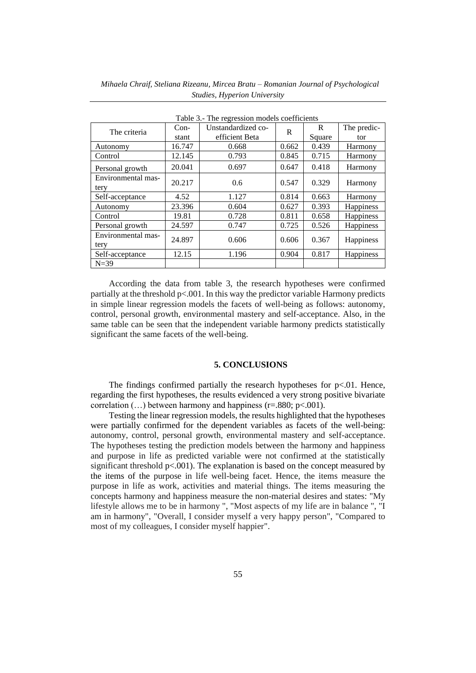| Table 3.- The regression models coefficients |        |                    |       |        |                  |  |  |
|----------------------------------------------|--------|--------------------|-------|--------|------------------|--|--|
| The criteria                                 | $Con-$ | Unstandardized co- | R     | R      | The predic-      |  |  |
|                                              | stant  | efficient Beta     |       | Square | tor              |  |  |
| Autonomy                                     | 16.747 | 0.668              | 0.662 | 0.439  | Harmony          |  |  |
| Control                                      | 12.145 | 0.793              | 0.845 | 0.715  | Harmony          |  |  |
| Personal growth                              | 20.041 | 0.697              | 0.647 | 0.418  | Harmony          |  |  |
| Environmental mas-                           | 20.217 | 0.6                | 0.547 | 0.329  | Harmony          |  |  |
| tery                                         |        |                    |       |        |                  |  |  |
| Self-acceptance                              | 4.52   | 1.127              | 0.814 | 0.663  | Harmony          |  |  |
| Autonomy                                     | 23.396 | 0.604              | 0.627 | 0.393  | <b>Happiness</b> |  |  |
| Control                                      | 19.81  | 0.728              | 0.811 | 0.658  | Happiness        |  |  |
| Personal growth                              | 24.597 | 0.747              | 0.725 | 0.526  | Happiness        |  |  |
| Environmental mas-                           | 24.897 | 0.606              | 0.606 | 0.367  |                  |  |  |
| tery                                         |        |                    |       |        | <b>Happiness</b> |  |  |
| Self-acceptance                              | 12.15  | 1.196              | 0.904 | 0.817  | <b>Happiness</b> |  |  |
| $N=39$                                       |        |                    |       |        |                  |  |  |

 *Mihaela Chraif, Steliana Rizeanu, Mircea Bratu – Romanian Journal of Psychological Studies, Hyperion University*

According the data from table 3, the research hypotheses were confirmed partially at the threshold  $p\leq 0.001$ . In this way the predictor variable Harmony predicts in simple linear regression models the facets of well-being as follows: autonomy, control, personal growth, environmental mastery and self-acceptance. Also, in the same table can be seen that the independent variable harmony predicts statistically significant the same facets of the well-being.

#### **5. CONCLUSIONS**

The findings confirmed partially the research hypotheses for  $p<0.01$ . Hence, regarding the first hypotheses, the results evidenced a very strong positive bivariate correlation  $(...)$  between harmony and happiness  $(r=.880; p<.001)$ .

Testing the linear regression models, the results highlighted that the hypotheses were partially confirmed for the dependent variables as facets of the well-being: autonomy, control, personal growth, environmental mastery and self-acceptance. The hypotheses testing the prediction models between the harmony and happiness and purpose in life as predicted variable were not confirmed at the statistically significant threshold  $p<.001$ ). The explanation is based on the concept measured by the items of the purpose in life well-being facet. Hence, the items measure the purpose in life as work, activities and material things. The items measuring the concepts harmony and happiness measure the non-material desires and states: "My lifestyle allows me to be in harmony ", "Most aspects of my life are in balance ", "I am in harmony", "Overall, I consider myself a very happy person", "Compared to most of my colleagues, I consider myself happier".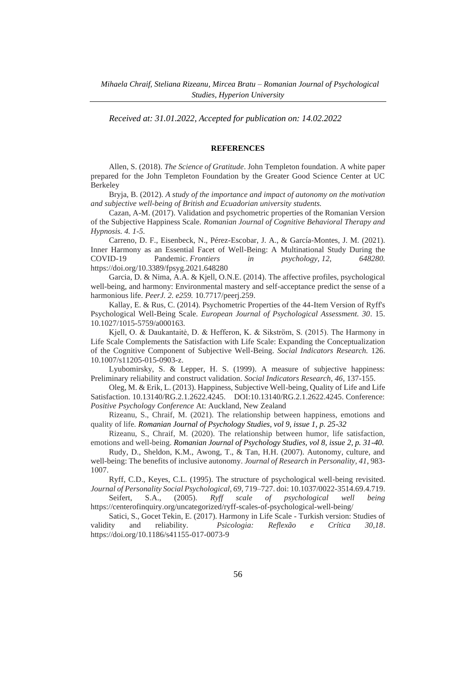*Received at: 31.01.2022, Accepted for publication on: 14.02.2022*

#### **REFERENCES**

Allen, S. (2018). *The Science of Gratitude*. John Templeton foundation. A white paper prepared for the John Templeton Foundation by the Greater Good Science Center at UC Berkeley

Bryja, B. (2012). *A study of the importance and impact of autonomy on the motivation and subjective well-being of British and Ecuadorian university students.*

Cazan, A-M. (2017). Validation and psychometric properties of the Romanian Version of the Subjective Happiness Scale. *Romanian Journal of Cognitive Behavioral Therapy and Hypnosis. 4. 1-5.*

Carreno, D. F., Eisenbeck, N., Pérez-Escobar, J. A., & García-Montes, J. M. (2021). Inner Harmony as an Essential Facet of Well-Being: A Multinational Study During the COVID-19 Pandemic. *Frontiers in psychology, 12, 648280.* <https://doi.org/10.3389/fpsyg.2021.648280>

Garcia, D. & Nima, A.A. & Kjell, O.N.E. (2014). The affective profiles, psychological well-being, and harmony: Environmental mastery and self-acceptance predict the sense of a harmonious life. *PeerJ. 2. e259.* 10.7717/peerj.259.

Kallay, E. & Rus, C. (2014). Psychometric Properties of the 44-Item Version of Ryff's Psychological Well-Being Scale. *European Journal of Psychological Assessment. 30*. 15. 10.1027/1015-5759/a000163.

Kjell, O. & Daukantaitė, D. & Hefferon, K. & Sikström, S. (2015). The Harmony in Life Scale Complements the Satisfaction with Life Scale: Expanding the Conceptualization of the Cognitive Component of Subjective Well-Being. *Social Indicators Research.* 126. 10.1007/s11205-015-0903-z.

Lyubomirsky, S. & Lepper, H. S. (1999). A measure of subjective happiness: Preliminary reliability and construct validation. *Social Indicators Research, 46*, 137-155.

Oleg, M. & Erik, L. (2013). Happiness, Subjective Well-being, Quality of Life and Life Satisfaction. 10.13140/RG.2.1.2622.4245. DOI:10.13140/RG.2.1.2622.4245. Conference: *Positive Psychology Conference* At: Auckland, New Zealand

Rizeanu, S., Chraif, M. (2021). The relationship between happiness, emotions and quality of life. *Romanian Journal of Psychology Studies, vol 9, issue 1, p. 25-32*

Rizeanu, S., Chraif, M. (2020). The relationship between humor, life satisfaction, emotions and well-being. *Romanian Journal of Psychology Studies, vol 8, issue 2, p. 31-40.*

Rudy, D., Sheldon, K.M., Awong, T., & Tan, H.H. (2007). Autonomy, culture, and well-being: The benefits of inclusive autonomy. *Journal of Research in Personality, 41*, 983- 1007.

Ryff, C.D., Keyes, C.L. (1995). The structure of psychological well-being revisited. *Journal of Personality Social Psychological, 69,* 719–727. doi: 10.1037/0022-3514.69.4.719.

Seifert, S.A., (2005). *Ryff scale of psychological well being* https://centerofinquiry.org/uncategorized/ryff-scales-of-psychological-well-being/

Satici, S., Gocet Tekin, E. (2017). Harmony in Life Scale - Turkish version: Studies of validity and reliability. *Psicologia: Reflexão e Crítica 30,18*. <https://doi.org/10.1186/s41155-017-0073-9>